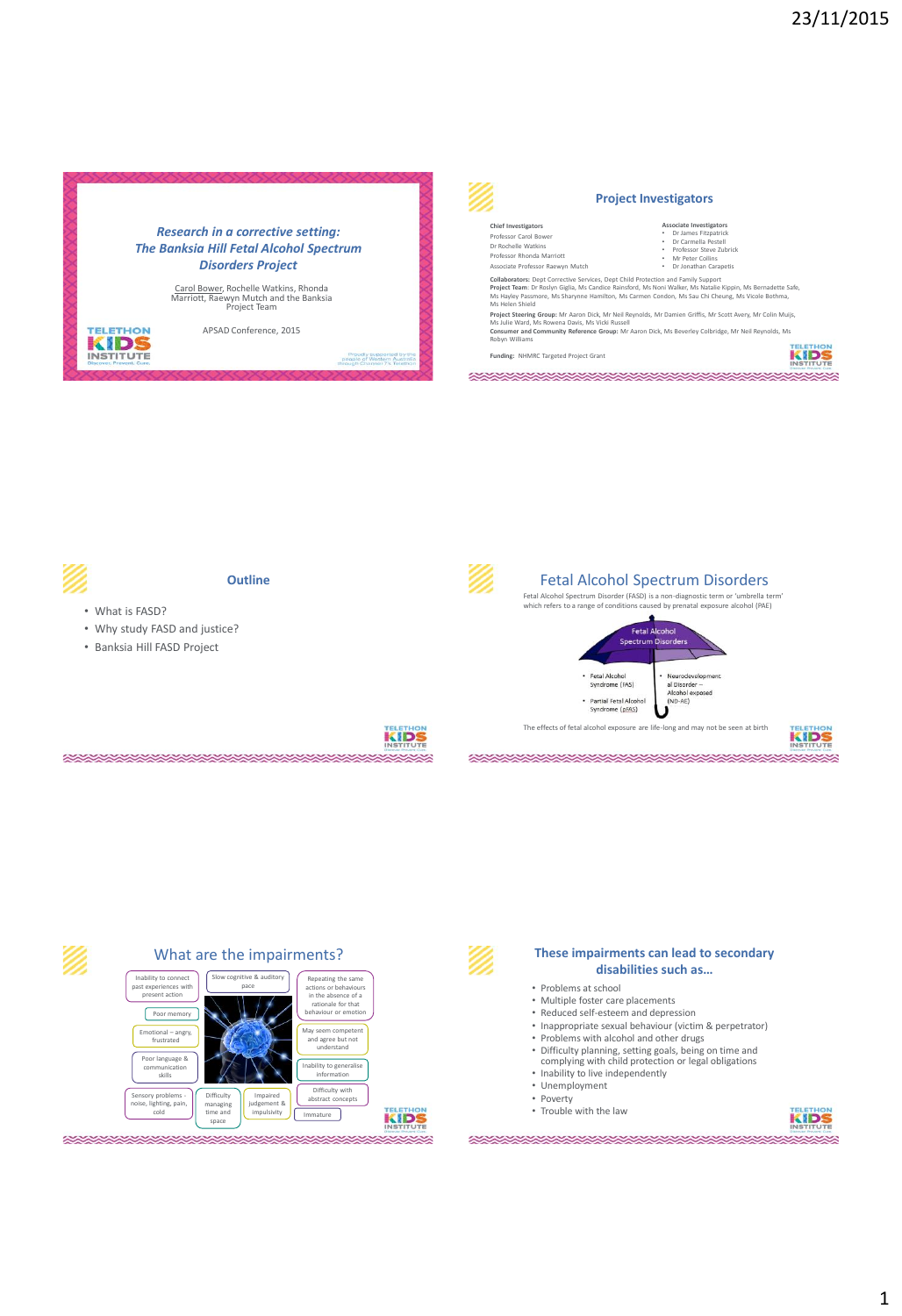











### **These impairments can lead to secondary disabilities such as…**

The effects of fetal alcohol exposure are life-long and may not be seen at birth

\*\*\*\*\*\*\*\*\*\*\*\*\*\*\*\*\*\*\*\*\*\*\*\*\*\*

- Problems at school
- Multiple foster care placements • Reduced self-esteem and depression

\*\*\*\*\*\*\*\*\*\*\*\*\*\*\*\*\*\*\*\*\*\*\*\*\*\*

- Inappropriate sexual behaviour (victim & perpetrator)
- Problems with alcohol and other drugs
- Difficulty planning, setting goals, being on time and complying with child protection or legal obligations
- 
- Inability to live independently • Unemployment
- Poverty
- Trouble with the law



**KIDS**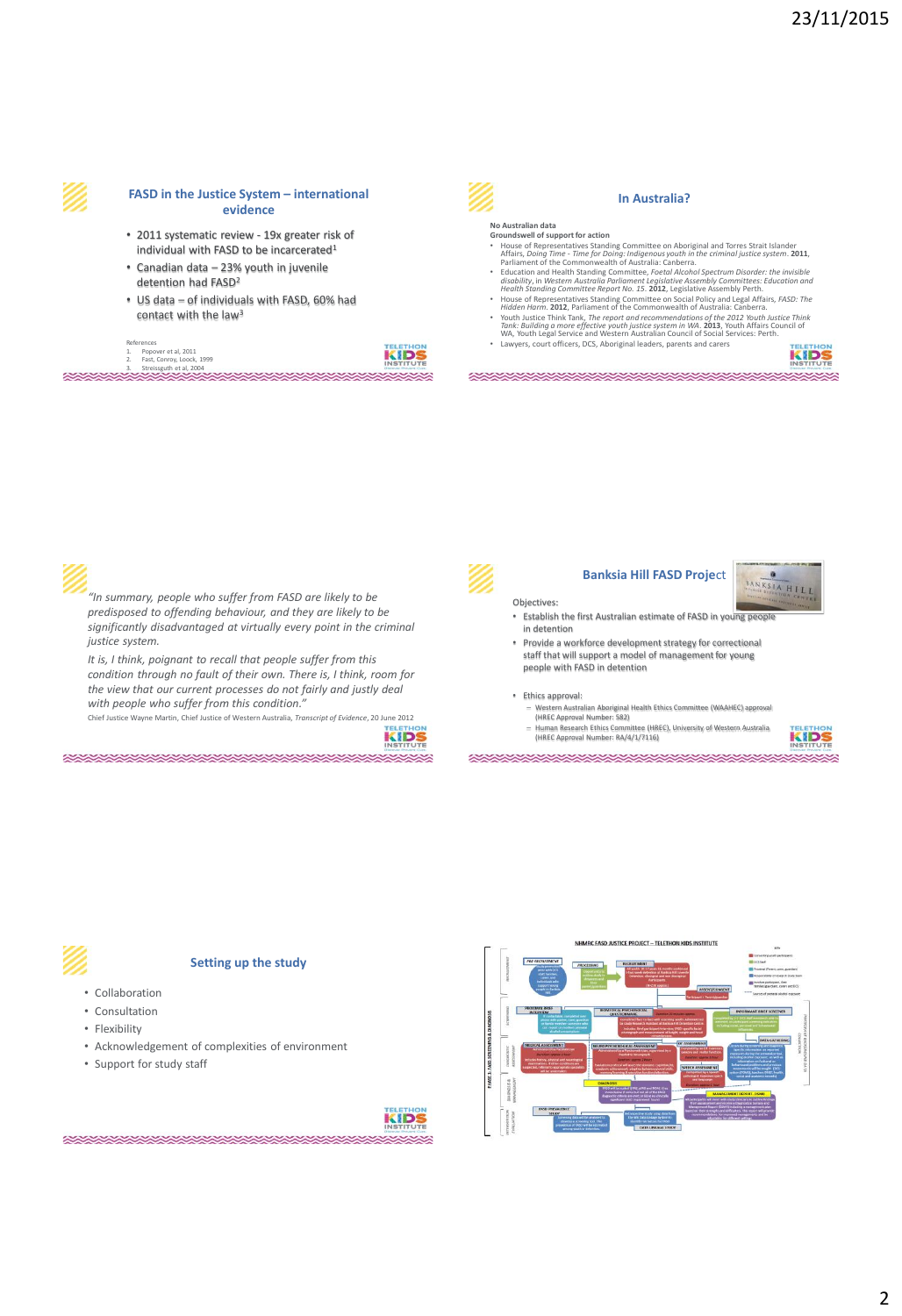

#### **FASD in the Justice System – international evidence**

- 2011 systematic review 19x greater risk of individual with FASD to be incarcerated $1$
- Canadian data 23% youth in juvenile detention had FASD<sup>2</sup>
- US data of individuals with FASD, 60% had contact with the law<sup>3</sup>

References 1. Popover et al, 2011 2. Fast, Conroy, Loock, 1999 3. Streissguth et al, 2004 





#### **In Australia?**

# **No Australian data**

- **Groundswell of support for action**<br> **Croundswell of support for action**  $\bullet$ <br> **Croundswell of Support Trum** (*Croop Time Time for Doing Indigenous youth in the criminal justice system.* **2011**,<br> *Parliament of the Comm*
- 
- 
- 

**XXXXXXXXXXXXXXXXXXXXXXXXXXXX** 

KID



*"In summary, people who suffer from FASD are likely to be predisposed to offending behaviour, and they are likely to be significantly disadvantaged at virtually every point in the criminal justice system.*

*It is, I think, poignant to recall that people suffer from this condition through no fault of their own. There is, I think, room for the view that our current processes do not fairly and justly deal with people who suffer from this condition."* 

Chief Justice Wayne Martin, Chief Justice of Western Australia, *Transcript of Evidence*, 20 June 2012

*RANDARINA RANDARI RANDARI RANDARI SURUPANE DE SUE ESPERANTO DE SUE ESPERANTO DE SUE ESPERANTO E ESPERANTO E* 

KIDS



#### **Banksia Hill FASD Proje**ct

Objectives:

- Establish the first Australian estimate of FASD in young people in detention
- Provide a workforce development strategy for correctional staff that will support a model of management for young people with FASD in detention

• Ethics approval:

- Western Australian Aboriginal Health Ethics Committee (WAAHEC) approval (HREC Approval Number: 582)
- Human Research Ethics Committee (HREC), University of Western Australia (HREC Approval Number: RA/4/1/7116)



BANKSIA HILI

# **Setting up the study**

- Collaboration
- Consultation
- Flexibility
- Acknowledgement of complexities of environment
- Support for study staff

**SANDA SANDA SANDA SA**